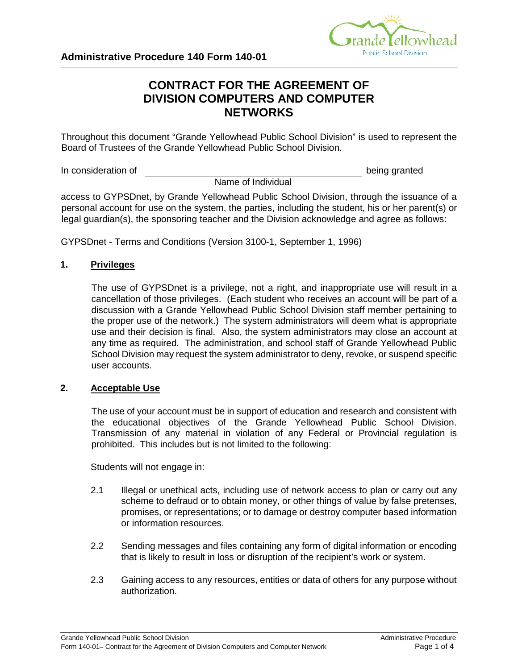

# **CONTRACT FOR THE AGREEMENT OF DIVISION COMPUTERS AND COMPUTER NETWORKS**

Throughout this document "Grande Yellowhead Public School Division" is used to represent the Board of Trustees of the Grande Yellowhead Public School Division.

In consideration of **being granted** 

Name of Individual

access to GYPSDnet, by Grande Yellowhead Public School Division, through the issuance of a personal account for use on the system, the parties, including the student, his or her parent(s) or legal guardian(s), the sponsoring teacher and the Division acknowledge and agree as follows:

GYPSDnet - Terms and Conditions (Version 3100-1, September 1, 1996)

# **1. Privileges**

The use of GYPSDnet is a privilege, not a right, and inappropriate use will result in a cancellation of those privileges. (Each student who receives an account will be part of a discussion with a Grande Yellowhead Public School Division staff member pertaining to the proper use of the network.) The system administrators will deem what is appropriate use and their decision is final. Also, the system administrators may close an account at any time as required. The administration, and school staff of Grande Yellowhead Public School Division may request the system administrator to deny, revoke, or suspend specific user accounts.

#### **2. Acceptable Use**

The use of your account must be in support of education and research and consistent with the educational objectives of the Grande Yellowhead Public School Division. Transmission of any material in violation of any Federal or Provincial regulation is prohibited. This includes but is not limited to the following:

Students will not engage in:

- 2.1 Illegal or unethical acts, including use of network access to plan or carry out any scheme to defraud or to obtain money, or other things of value by false pretenses, promises, or representations; or to damage or destroy computer based information or information resources.
- 2.2 Sending messages and files containing any form of digital information or encoding that is likely to result in loss or disruption of the recipient's work or system.
- 2.3 Gaining access to any resources, entities or data of others for any purpose without authorization.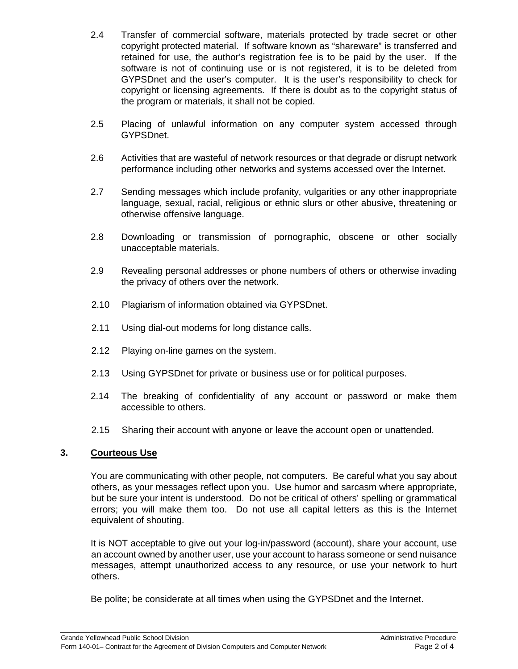- 2.4 Transfer of commercial software, materials protected by trade secret or other copyright protected material. If software known as "shareware" is transferred and retained for use, the author's registration fee is to be paid by the user. If the software is not of continuing use or is not registered, it is to be deleted from GYPSDnet and the user's computer. It is the user's responsibility to check for copyright or licensing agreements. If there is doubt as to the copyright status of the program or materials, it shall not be copied.
- 2.5 Placing of unlawful information on any computer system accessed through GYPSDnet.
- 2.6 Activities that are wasteful of network resources or that degrade or disrupt network performance including other networks and systems accessed over the Internet.
- 2.7 Sending messages which include profanity, vulgarities or any other inappropriate language, sexual, racial, religious or ethnic slurs or other abusive, threatening or otherwise offensive language.
- 2.8 Downloading or transmission of pornographic, obscene or other socially unacceptable materials.
- 2.9 Revealing personal addresses or phone numbers of others or otherwise invading the privacy of others over the network.
- 2.10 Plagiarism of information obtained via GYPSDnet.
- 2.11 Using dial-out modems for long distance calls.
- 2.12 Playing on-line games on the system.
- 2.13 Using GYPSDnet for private or business use or for political purposes.
- 2.14 The breaking of confidentiality of any account or password or make them accessible to others.
- 2.15 Sharing their account with anyone or leave the account open or unattended.

#### **3. Courteous Use**

You are communicating with other people, not computers. Be careful what you say about others, as your messages reflect upon you. Use humor and sarcasm where appropriate, but be sure your intent is understood. Do not be critical of others' spelling or grammatical errors; you will make them too. Do not use all capital letters as this is the Internet equivalent of shouting.

It is NOT acceptable to give out your log-in/password (account), share your account, use an account owned by another user, use your account to harass someone or send nuisance messages, attempt unauthorized access to any resource, or use your network to hurt others.

Be polite; be considerate at all times when using the GYPSDnet and the Internet.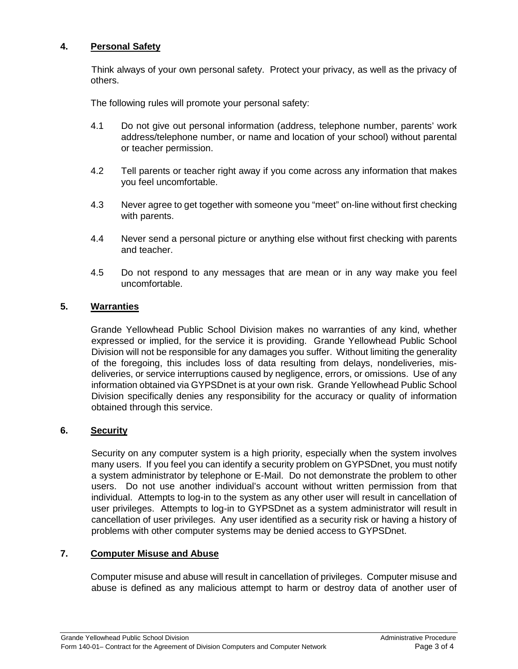## **4. Personal Safety**

Think always of your own personal safety. Protect your privacy, as well as the privacy of others.

The following rules will promote your personal safety:

- 4.1 Do not give out personal information (address, telephone number, parents' work address/telephone number, or name and location of your school) without parental or teacher permission.
- 4.2 Tell parents or teacher right away if you come across any information that makes you feel uncomfortable.
- 4.3 Never agree to get together with someone you "meet" on-line without first checking with parents.
- 4.4 Never send a personal picture or anything else without first checking with parents and teacher.
- 4.5 Do not respond to any messages that are mean or in any way make you feel uncomfortable.

# **5. Warranties**

Grande Yellowhead Public School Division makes no warranties of any kind, whether expressed or implied, for the service it is providing. Grande Yellowhead Public School Division will not be responsible for any damages you suffer. Without limiting the generality of the foregoing, this includes loss of data resulting from delays, nondeliveries, misdeliveries, or service interruptions caused by negligence, errors, or omissions. Use of any information obtained via GYPSDnet is at your own risk. Grande Yellowhead Public School Division specifically denies any responsibility for the accuracy or quality of information obtained through this service.

#### **6. Security**

Security on any computer system is a high priority, especially when the system involves many users. If you feel you can identify a security problem on GYPSDnet, you must notify a system administrator by telephone or E-Mail. Do not demonstrate the problem to other users. Do not use another individual's account without written permission from that individual. Attempts to log-in to the system as any other user will result in cancellation of user privileges. Attempts to log-in to GYPSDnet as a system administrator will result in cancellation of user privileges. Any user identified as a security risk or having a history of problems with other computer systems may be denied access to GYPSDnet.

### **7. Computer Misuse and Abuse**

Computer misuse and abuse will result in cancellation of privileges. Computer misuse and abuse is defined as any malicious attempt to harm or destroy data of another user of